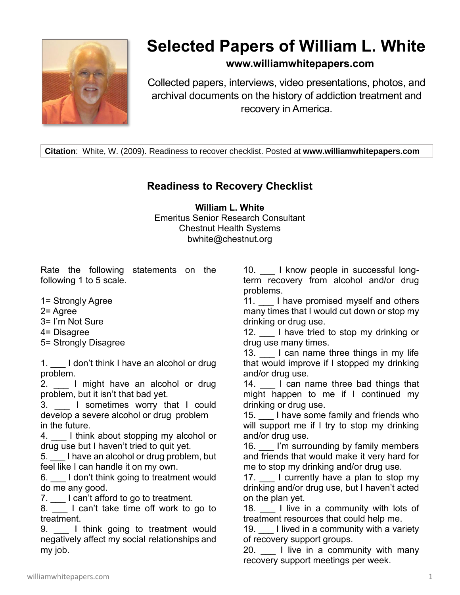

## **Selected Papers of William L. White**

## **www.williamwhitepapers.com**

Collected papers, interviews, video presentations, photos, and archival documents on the history of addiction treatment and recovery in America.

**Citation**: White, W. (2009). Readiness to recover checklist. Posted at **www.williamwhitepapers.com**

## **Readiness to Recovery Checklist**

**William L. White** Emeritus Senior Research Consultant Chestnut Health Systems bwhite@chestnut.org

Rate the following statements on the following 1 to 5 scale.

- 1= Strongly Agree
- 2= Agree
- 3= I'm Not Sure
- 4= Disagree
- 5= Strongly Disagree

1. I don't think I have an alcohol or drug problem.

2. I might have an alcohol or drug problem, but it isn't that bad yet.

3. I sometimes worry that I could develop a severe alcohol or drug problem in the future.

4. I think about stopping my alcohol or drug use but I haven't tried to quit yet.

5. \_\_\_ I have an alcohol or drug problem, but feel like I can handle it on my own.

6. \_\_\_ I don't think going to treatment would do me any good.

7. \_\_\_ I can't afford to go to treatment.

8.  $\frac{1}{\sqrt{1}}$  I can't take time off work to go to treatment.

9. I think going to treatment would negatively affect my social relationships and my job.

10. I know people in successful longterm recovery from alcohol and/or drug problems.

11. \_\_\_ I have promised myself and others many times that I would cut down or stop my drinking or drug use.

12. I have tried to stop my drinking or drug use many times.

13.  $\Box$  I can name three things in my life that would improve if I stopped my drinking and/or drug use.

14. \_\_ I can name three bad things that might happen to me if I continued my drinking or drug use.

15. I have some family and friends who will support me if I try to stop my drinking and/or drug use.

16. I'm surrounding by family members and friends that would make it very hard for me to stop my drinking and/or drug use.

17. I currently have a plan to stop my drinking and/or drug use, but I haven't acted on the plan yet.

18. I live in a community with lots of treatment resources that could help me.

19. I lived in a community with a variety of recovery support groups.

20. I live in a community with many recovery support meetings per week.